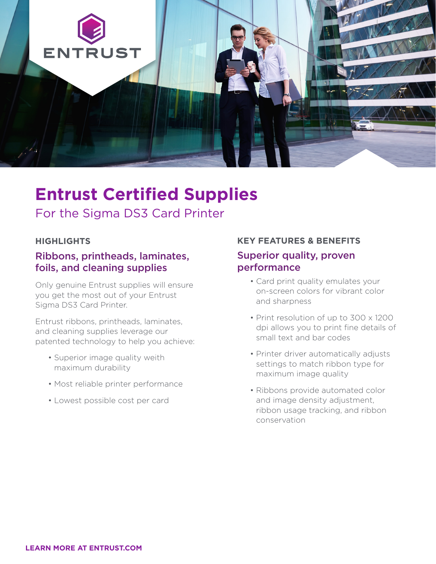

## **Entrust Certified Supplies**

For the Sigma DS3 Card Printer

#### **HIGHLIGHTS**

#### Ribbons, printheads, laminates, foils, and cleaning supplies

Only genuine Entrust supplies will ensure you get the most out of your Entrust Sigma DS3 Card Printer.

Entrust ribbons, printheads, laminates, and cleaning supplies leverage our patented technology to help you achieve:

- Superior image quality weith maximum durability
- Most reliable printer performance
- Lowest possible cost per card

#### **KEY FEATURES & BENEFITS**

#### Superior quality, proven performance

- Card print quality emulates your on-screen colors for vibrant color and sharpness
- Print resolution of up to 300 x 1200 dpi allows you to print fine details of small text and bar codes
- Printer driver automatically adjusts settings to match ribbon type for maximum image quality
- Ribbons provide automated color and image density adjustment, ribbon usage tracking, and ribbon conservation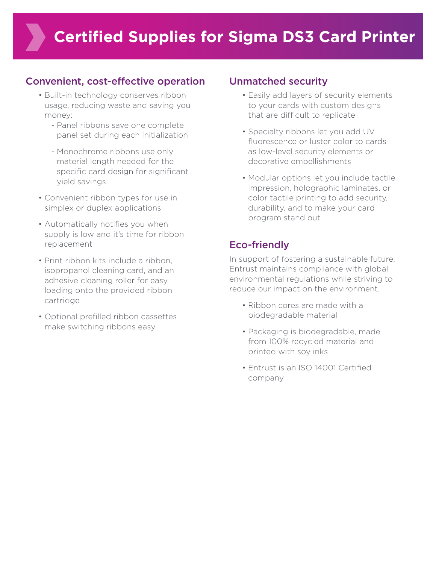### Convenient, cost-effective operation

- Built-in technology conserves ribbon usage, reducing waste and saving you money:
	- Panel ribbons save one complete panel set during each initialization
	- Monochrome ribbons use only material length needed for the specific card design for significant yield savings
- Convenient ribbon types for use in simplex or duplex applications
- Automatically notifies you when supply is low and it's time for ribbon replacement
- Print ribbon kits include a ribbon, isopropanol cleaning card, and an adhesive cleaning roller for easy loading onto the provided ribbon cartridge
- Optional prefilled ribbon cassettes make switching ribbons easy

### Unmatched security

- Easily add layers of security elements to your cards with custom designs that are difficult to replicate
- Specialty ribbons let you add UV fluorescence or luster color to cards as low-level security elements or decorative embellishments
- Modular options let you include tactile impression, holographic laminates, or color tactile printing to add security, durability, and to make your card program stand out

## Eco-friendly

In support of fostering a sustainable future, Entrust maintains compliance with global environmental regulations while striving to reduce our impact on the environment.

- Ribbon cores are made with a biodegradable material
- Packaging is biodegradable, made from 100% recycled material and printed with soy inks
- Entrust is an ISO 14001 Certified company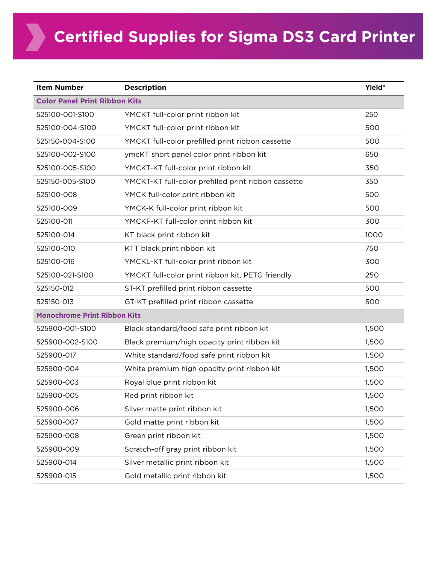| <b>Item Number</b>                   | <b>Description</b>                                  | Yield* |  |  |
|--------------------------------------|-----------------------------------------------------|--------|--|--|
| <b>Color Panel Print Ribbon Kits</b> |                                                     |        |  |  |
| 525100-001-S100                      | YMCKT full-color print ribbon kit                   | 250    |  |  |
| 525100-004-S100                      | YMCKT full-color print ribbon kit                   | 500    |  |  |
| 525150-004-S100                      | YMCKT full-color prefilled print ribbon cassette    | 500    |  |  |
| 525100-002-S100                      | ymcKT short panel color print ribbon kit            | 650    |  |  |
| 525100-005-S100                      | YMCKT-KT full-color print ribbon kit                | 350    |  |  |
| 525150-005-S100                      | YMCKT-KT full-color prefilled print ribbon cassette | 350    |  |  |
| 525100-008                           | YMCK full-color print ribbon kit                    | 500    |  |  |
| 525100-009                           | YMCK-K full-color print ribbon kit                  | 500    |  |  |
| 525100-011                           | YMCKF-KT full-color print ribbon kit                | 300    |  |  |
| 525100-014                           | KT black print ribbon kit                           | 1000   |  |  |
| 525100-010                           | KTT black print ribbon kit                          | 750    |  |  |
| 525100-016                           | YMCKL-KT full-color print ribbon kit                | 300    |  |  |
| 525100-021-S100                      | YMCKT full-color print ribbon kit, PETG friendly    | 250    |  |  |
| 525150-012                           | ST-KT prefilled print ribbon cassette               | 500    |  |  |
| 525150-013                           | GT-KT prefilled print ribbon cassette               | 500    |  |  |
| <b>Monochrome Print Ribbon Kits</b>  |                                                     |        |  |  |
| 525900-001-S100                      | Black standard/food safe print ribbon kit           | 1,500  |  |  |
| 525900-002-S100                      | Black premium/high opacity print ribbon kit         | 1,500  |  |  |
| 525900-017                           | White standard/food safe print ribbon kit           | 1,500  |  |  |
| 525900-004                           | White premium high opacity print ribbon kit         | 1,500  |  |  |
| 525900-003                           | Royal blue print ribbon kit                         | 1,500  |  |  |
| 525900-005                           | Red print ribbon kit                                | 1,500  |  |  |
| 525900-006                           | Silver matte print ribbon kit                       | 1,500  |  |  |
| 525900-007                           | Gold matte print ribbon kit                         | 1,500  |  |  |
| 525900-008                           | Green print ribbon kit                              | 1,500  |  |  |
| 525900-009                           | Scratch-off gray print ribbon kit                   | 1,500  |  |  |
| 525900-014                           | Silver metallic print ribbon kit                    | 1,500  |  |  |
| 525900-015                           | Gold metallic print ribbon kit                      | 1,500  |  |  |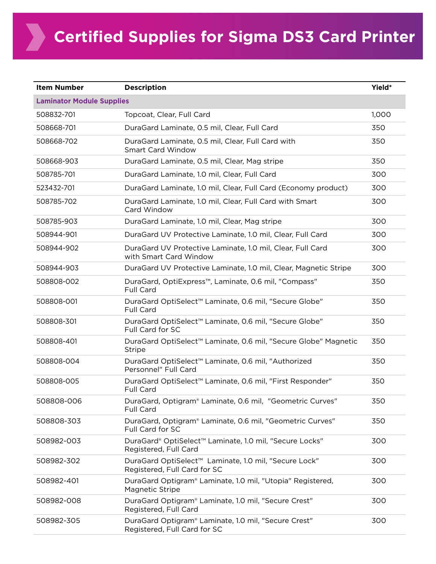**XX** 

| <b>Item Number</b>               | <b>Description</b>                                                                                | Yield* |  |  |
|----------------------------------|---------------------------------------------------------------------------------------------------|--------|--|--|
| <b>Laminator Module Supplies</b> |                                                                                                   |        |  |  |
| 508832-701                       | Topcoat, Clear, Full Card                                                                         | 1,000  |  |  |
| 508668-701                       | DuraGard Laminate, 0.5 mil, Clear, Full Card                                                      | 350    |  |  |
| 508668-702                       | DuraGard Laminate, 0.5 mil, Clear, Full Card with<br><b>Smart Card Window</b>                     | 350    |  |  |
| 508668-903                       | DuraGard Laminate, 0.5 mil, Clear, Mag stripe                                                     | 350    |  |  |
| 508785-701                       | DuraGard Laminate, 1.0 mil, Clear, Full Card                                                      | 300    |  |  |
| 523432-701                       | DuraGard Laminate, 1.0 mil, Clear, Full Card (Economy product)                                    | 300    |  |  |
| 508785-702                       | DuraGard Laminate, 1.0 mil, Clear, Full Card with Smart<br>Card Window                            | 300    |  |  |
| 508785-903                       | DuraGard Laminate, 1.0 mil, Clear, Mag stripe                                                     | 300    |  |  |
| 508944-901                       | DuraGard UV Protective Laminate, 1.0 mil, Clear, Full Card                                        | 300    |  |  |
| 508944-902                       | DuraGard UV Protective Laminate, 1.0 mil, Clear, Full Card<br>with Smart Card Window              | 300    |  |  |
| 508944-903                       | DuraGard UV Protective Laminate, 1.0 mil, Clear, Magnetic Stripe                                  | 300    |  |  |
| 508808-002                       | DuraGard, OptiExpress™, Laminate, 0.6 mil, "Compass"<br><b>Full Card</b>                          | 350    |  |  |
| 508808-001                       | DuraGard OptiSelect™ Laminate, 0.6 mil, "Secure Globe"<br>Full Card                               | 350    |  |  |
| 508808-301                       | DuraGard OptiSelect™ Laminate, 0.6 mil, "Secure Globe"<br>Full Card for SC                        | 350    |  |  |
| 508808-401                       | DuraGard OptiSelect <sup>™</sup> Laminate, 0.6 mil, "Secure Globe" Magnetic<br><b>Stripe</b>      | 350    |  |  |
| 508808-004                       | DuraGard OptiSelect™ Laminate, 0.6 mil, "Authorized<br>Personnel" Full Card                       | 350    |  |  |
| 508808-005                       | DuraGard OptiSelect <sup>™</sup> Laminate, 0.6 mil, "First Responder"<br><b>Full Card</b>         | 350    |  |  |
| 508808-006                       | DuraGard, Optigram® Laminate, 0.6 mil, "Geometric Curves"<br>Full Card                            | 350    |  |  |
| 508808-303                       | DuraGard, Optigram® Laminate, 0.6 mil, "Geometric Curves"<br>Full Card for SC                     | 350    |  |  |
| 508982-003                       | DuraGard® OptiSelect™ Laminate, 1.0 mil, "Secure Locks"<br>Registered, Full Card                  | 300    |  |  |
| 508982-302                       | DuraGard OptiSelect <sup>™</sup> Laminate, 1.0 mil, "Secure Lock"<br>Registered, Full Card for SC | 300    |  |  |
| 508982-401                       | DuraGard Optigram® Laminate, 1.0 mil, "Utopia" Registered,<br>Magnetic Stripe                     | 300    |  |  |
| 508982-008                       | DuraGard Optigram® Laminate, 1.0 mil, "Secure Crest"<br>Registered, Full Card                     | 300    |  |  |
| 508982-305                       | DuraGard Optigram® Laminate, 1.0 mil, "Secure Crest"<br>Registered, Full Card for SC              | 300    |  |  |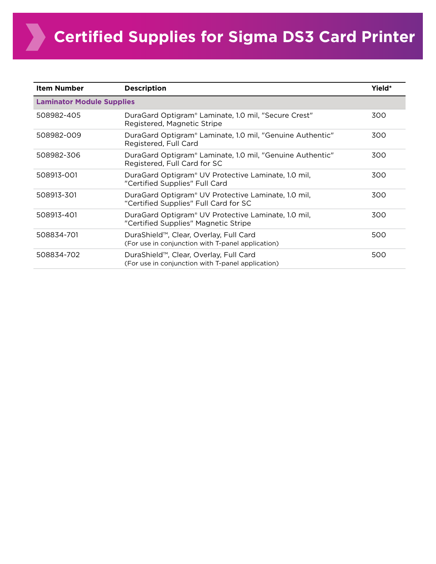**XX** 

| <b>Item Number</b>               | <b>Description</b>                                                                           | Yield* |  |  |
|----------------------------------|----------------------------------------------------------------------------------------------|--------|--|--|
| <b>Laminator Module Supplies</b> |                                                                                              |        |  |  |
| 508982-405                       | DuraGard Optigram® Laminate, 1.0 mil, "Secure Crest"<br>Registered, Magnetic Stripe          | 300    |  |  |
| 508982-009                       | DuraGard Optigram® Laminate, 1.0 mil, "Genuine Authentic"<br>Registered, Full Card           | 300    |  |  |
| 508982-306                       | DuraGard Optigram® Laminate, 1.0 mil, "Genuine Authentic"<br>Registered, Full Card for SC    | 300    |  |  |
| 508913-001                       | DuraGard Optigram® UV Protective Laminate, 1.0 mil,<br>"Certified Supplies" Full Card        | 300    |  |  |
| 508913-301                       | DuraGard Optigram® UV Protective Laminate, 1.0 mil,<br>"Certified Supplies" Full Card for SC | 300    |  |  |
| 508913-401                       | DuraGard Optigram® UV Protective Laminate, 1.0 mil,<br>"Certified Supplies" Magnetic Stripe  | 300    |  |  |
| 508834-701                       | DuraShield™, Clear, Overlay, Full Card<br>(For use in conjunction with T-panel application)  | 500    |  |  |
| 508834-702                       | DuraShield™, Clear, Overlay, Full Card<br>(For use in conjunction with T-panel application)  | 500    |  |  |